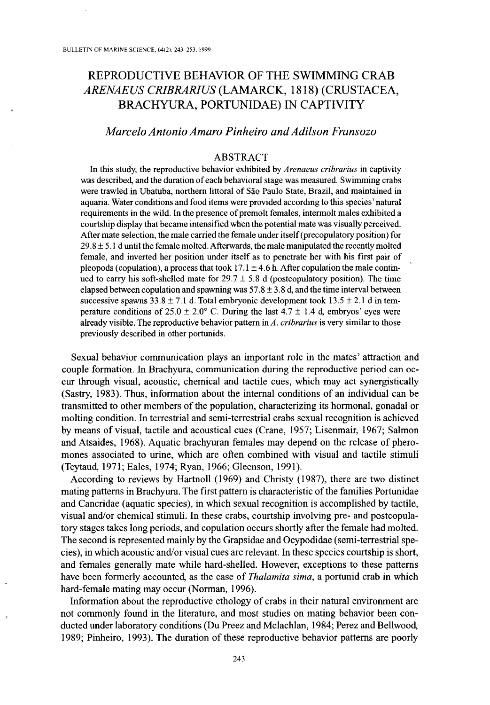# REPRODUCTIVE BEHAVIOR OF THE SWIMMING CRAB *ARENAEUS CRiBRARIUS* (LAMARCK, 1818) (CRUSTACEA, BRACHYURA, PORTUNIDAE) IN CAPTIVITY

## *Marcelo Antonio Amaro Pinheiro andAdilson Fransozo*

### ABSTRACT

In this study, the reproductive behavior exhibited by *Arenaeus cribrarius* in captivity was described, and the duration of each behavioral stage was measured, Swimming crabs were trawled in Ubatuba, northern littoral of Sao Paulo State, Brazil, and maintained in aquaria, Water conditions and food items were provided according to this species' natural requirements in the wild. In the presence of premolt females, intermolt males exhibited a courtship display that became intensified when the potential mate was visually perceived. After mate selection, the male carried the female under itself(precopulatory position) for  $29.8 \pm 5.1$  d until the female molted. Afterwards, the male manipulated the recently molted female, and inverted her position under itself as to penetrate her with his first pair of pleopods (copulation), a process that took  $17.1 \pm 4.6$  h. After copulation the male continued to carry his soft-shelled mate for  $29.7 \pm 5.8$  d (postcopulatory position). The time elapsed between copulation and spawning was  $57.8 \pm 3.8$  d, and the time interval between successive spawns  $33.8 \pm 7.1$  d. Total embryonic development took  $13.5 \pm 2.1$  d in temperature conditions of  $25.0 \pm 2.0^{\circ}$  C. During the last  $4.7 \pm 1.4$  d, embryos' eyes were already visible. The reproductive behavior pattern in *A. cribrarius* is very similar to those previously described in other portunids.

Sexual behavior communication plays an important role in the mates' attraction and couple formation. In Brachyura, communication during the reproductive period can occur through visual, acoustic, chemical and tactile cues, which may act synergistically (Sastry, 1983). Thus, information about the internal conditions of an individual can be transmitted to other members of the population, characterizing its hormonal, gonadal or molting condition. In terrestrial and semi-terrestrial crabs sexual recognition is achieved by means of visual, tactile and acoustical cues (Crane, 1957; Lisenmair, 1967; Salmon and Atsaides, 1968). Aquatic brachyuran females may depend on the release of pheromones associated to urine, which are often combined with visual and tactile stimuli (Teytaud, 1971; Eales, 1974; Ryan, 1966; Gleenson, 1991).

According to reviews by Hartnoll (1969) and Christy (1987), there are two distinct mating patterns in Brachyura. The first pattern is characteristic of the families Portunidae and Cancridae (aquatic species), in which sexual recognition is accomplished by tactile, visual and/or chemical stimuli. In these crabs, courtship involving pre- and postcopulatory stages takes long periods, and copulation occurs shortly after the female had molted. The second is represented mainly by the Grapsidae and Ocypodidae (semi-terrestrial species), in which acoustic and/or visual cues are relevant. In these species courtship is short, and females generally mate while hard-shelled. However, exceptions to these patterns have been formerly accounted, as the case of *Thalamita sima,* a portunid crab in which hard-female mating may occur (Norman, 1996).

Information about the reproductive ethology of crabs in their natural environment are not commonly found in the literature, and most studies on mating behavior been conducted under laboratory conditions (Du Preez and Mclachlan, 1984; Perez and Bellwood, 1989; Pinheiro, 1993). The duration of these reproductive behavior patterns are poorly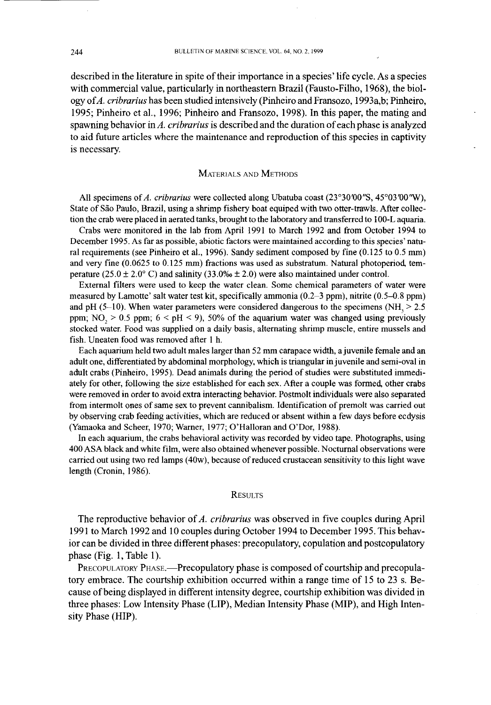described in the literature in spite of their importance in a species' life cycle. As a species with commercial value, particularly in northeastern Brazil (Fausto-Filho, 1968), the biology of*A. cribrarius* has been studied intensively (Pinheiro and Fransozo, 1993a,b; Pinheiro, 1995; Pinheiro et aI., 1996; Pinheiro and Fransozo, 1998). In this paper, the mating and spawning behavior in A. *cribrarius* is described and the duration ofeach phase is analyzed to aid future articles where the maintenance and reproduction of this species in captivity is necessary.

#### MATERIALS AND METHODS

All specimens of*A. cribrarius* were collected along Ubatuba coast (23°30'00"S, 45°03'00'W), State of São Paulo, Brazil, using a shrimp fishery boat equiped with two otter-trawls. After collection the crab were placed in aerated tanks, brought to the laboratory and transferred to 100-L aquaria.

Crabs were monitored in the lab from April 1991 to March 1992 and from October 1994 to December 1995. As far as possible, abiotic factors were maintained according to this species' natural requirements (see Pinheiro et aI., 1996). Sandy sediment composed by fine (0.125 to 0.5 mm) and very fine (0.0625 to 0.125 mm) fractions was used as substratum. Natural photoperiod, temperature (25.0  $\pm$  2.0° C) and salinity (33.0%  $\pm$  2.0) were also maintained under control.

External filters were used to keep the water clean. Some chemical parameters of water were measured by Lamotte' salt water test kit, specifically ammonia (0.2-3 ppm), nitrite (0.5-0.8 ppm) and pH (5-10). When water parameters were considered dangerous to the specimens (NH $_{3}$  > 2.5 ppm; NO<sub>2</sub> > 0.5 ppm;  $6 < pH < 9$ ), 50% of the aquarium water was changed using previously stocked water. Food was supplied on a daily basis, alternating shrimp muscle, entire mussels and fish. Uneaten food was removed after I h.

Each aquarium held two adult males larger than 52 mm carapace width, ajuvenile female and an adult one, differentiated by abdominal morphology, which is triangular in juvenile and semi-oval in adult crabs (Pinheiro, 1995). Dead animals during the period of studies were substituted immediately for other, following the size established for each sex. After a couple was formed, other crabs were removed in order to avoid extra interacting behavior. Postmolt individuals were also separated from intermolt ones of same sex to prevent cannibalism. Identification of premolt was carried out by observing crab feeding activities, which are reduced or absent within a few days before ecdysis (Yamaoka and Scheer, 1970; Warner, 1977; O'Halloran and O'Dor, 1988).

In each aquarium, the crabs behavioral activity was recorded by video tape. Photographs, using 400 ASA black and white film, were also obtained whenever possible. Nocturnal observations were carried out using two red lamps (40w), because ofreduced crustacean sensitivity to this light wave length (Cronin, 1986).

#### **RESULTS**

The reproductive behavior of*A. cribrarius* was observed in five couples during April 1991 to March 1992 and 10 couples during October 1994 to December 1995. This behavior can be divided in three different phases: precopulatory, copulation and postcopulatory phase (Fig. I, Table 1).

PRECOPULATORY PHASE.—Precopulatory phase is composed of courtship and precopulatory embrace. The courtship exhibition occurred within a range time of 15 to 23 s. Because ofbeing displayed in different intensity degree, courtship exhibition was divided in three phases: Low Intensity Phase (LIP), Median Intensity Phase (MIP), and High Intensity Phase (HIP).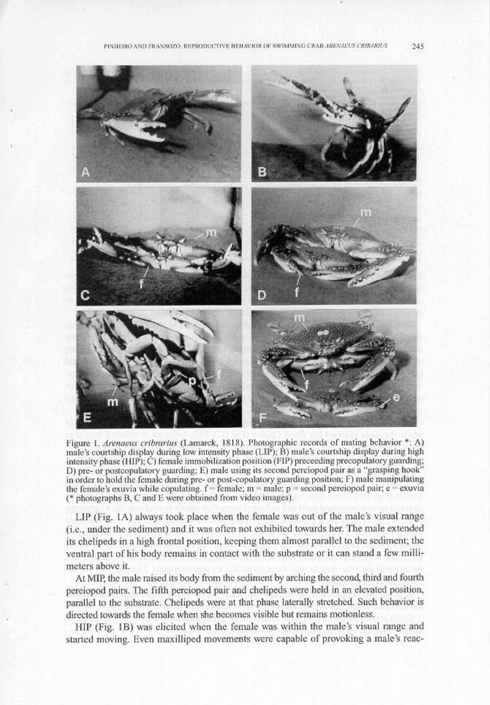

Figure 1. *Arenaeus cribrarius* (Lamarck, 1818). Photographic records of mating behavior \*: A) male's courtship display during low intensity phase (LIP); B) male's courtship display during high intensity phase (HIP); C) female immobilization position (FIP) preceeding precopulatory guarding;<br>D) pre- or postcopulatory guarding; E) male using its second perciopod pair as a "grasping hook" in order to hold the female during pre- or post-copulatory guarding position; F) male manipulating the female's exuvia while copulating.  $f =$  female;  $m =$  male;  $p =$  second pereiopod pair; e = exuvia ( $*$  photographs B, C and E were obtained from video images).

LIP (Fig. 1A) always took place when the female was out of the male's visual range (i.e., under the sediment) and it was often not exhibited towards her. The male extended its chelipeds in a high frontal position, keeping them almost parallel to the sediment; the ventral part of his body remains in contact with the substrate or it can stand a few millimeters above it.

At MIP, the male raised its body from the sediment by arching the second, third and fourth pereiopod pairs. The fifth pereiopod pair and chelipeds were held in an elevated position, parallel to the substrate. Chelipeds were at that phase laterally stretched. Such behavior is directed towards the female when she becomes visible but remains motionless.

HIP (Fig. 1B) was elicited when the female was within the male's visual range and started moving. Even maxilliped movements were capable of provoking a male's reac-

 $245$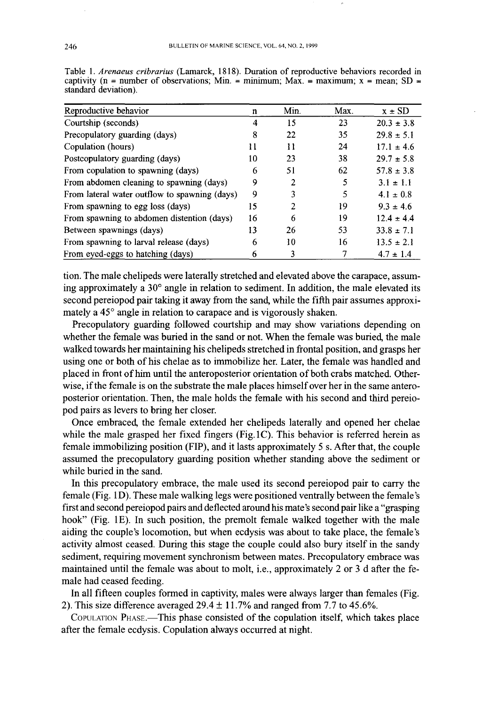| Reproductive behavior                         | n  | Min. | Max. | $x \pm SD$     |
|-----------------------------------------------|----|------|------|----------------|
| Courtship (seconds)                           | 4  | 15   | 23   | $20.3 \pm 3.8$ |
| Precopulatory guarding (days)                 | 8  | 22   | 35   | $29.8 \pm 5.1$ |
| Copulation (hours)                            | 11 | 11   | 24   | $17.1 \pm 4.6$ |
| Postcopulatory guarding (days)                | 10 | 23   | 38   | $29.7 \pm 5.8$ |
| From copulation to spawning (days)            | 6  | 51   | 62   | $57.8 \pm 3.8$ |
| From abdomen cleaning to spawning (days)      | 9  | 2    |      | $3.1 \pm 1.1$  |
| From lateral water outflow to spawning (days) | 9  | 3    | 5    | $4.1 \pm 0.8$  |
| From spawning to egg loss (days)              | 15 | 2    | 19   | $9.3 \pm 4.6$  |
| From spawning to abdomen distention (days)    | 16 | 6    | 19   | $12.4 \pm 4.4$ |
| Between spawnings (days)                      | 13 | 26   | 53   | $33.8 \pm 7.1$ |
| From spawning to larval release (days)        | 6  | 10   | 16   | $13.5 \pm 2.1$ |
| From eyed-eggs to hatching (days)             | 6  | 3    |      | $4.7 \pm 1.4$  |

Table L *Arenaeus cribrarius* (Lamarck, 1818). Duration of reproductive behaviors recorded in captivity (n = number of observations; Min. = minimum; Max. = maximum;  $x$  = mean; SD = standard deviation).

tion. The male chelipeds were laterally stretched and elevated above the carapace, assuming approximately a 30° angle in relation to sediment. In addition, the male elevated its second pereiopod pair taking it away from the sand, while the fifth pair assumes approximately a 45° angle in relation to carapace and is vigorously shaken.

Precopulatory guarding followed courtship and may show variations depending on whether the female was buried in the sand or not. When the female was buried, the male walked towards her maintaining his chelipeds stretched in frontal position, and grasps her using one or both of his chelae as to immobilize her. Later, the female was handled and placed in front of him until the anteroposterior orientation of both crabs matched. Otherwise, if the female is on the substrate the male places himself over her in the same anteroposterior orientation. Then, the male holds the female with his second and third pereiopod pairs as levers to bring her closer.

Once embraced, the female extended her chelipeds laterally and opened her chelae while the male grasped her fixed fingers (Fig. 1C). This behavior is referred herein as female immobilizing position (FIP), and it lasts approximately 5 s. After that, the couple assumed the precopulatory guarding position whether standing above the sediment or while buried in the sand.

In this precopulatory embrace, the male used its second pereiopod pair to carry the female (Fig. ID). These male walking legs were positioned ventrally between the female's first and second pereiopod pairs and deflected around his mate's second pair like a "grasping hook" (Fig. IE). In such position, the premolt female walked together with the male aiding the couple's locomotion, but when ecdysis was about to take place, the female's activity almost ceased. During this stage the couple could also bury itself in the sandy sediment, requiring movement synchronism between mates. Precopulatory embrace was maintained until the female was about to molt, i.e., approximately 2 or 3 d after the female had ceased feeding.

In all fifteen couples formed in captivity, males were always larger than females (Fig. 2). This size difference averaged  $29.4 \pm 11.7\%$  and ranged from 7.7 to 45.6%.

COPULATION PHASE.-This phase consisted of the copulation itself, which takes place after the female ecdysis. Copulation always occurred at night.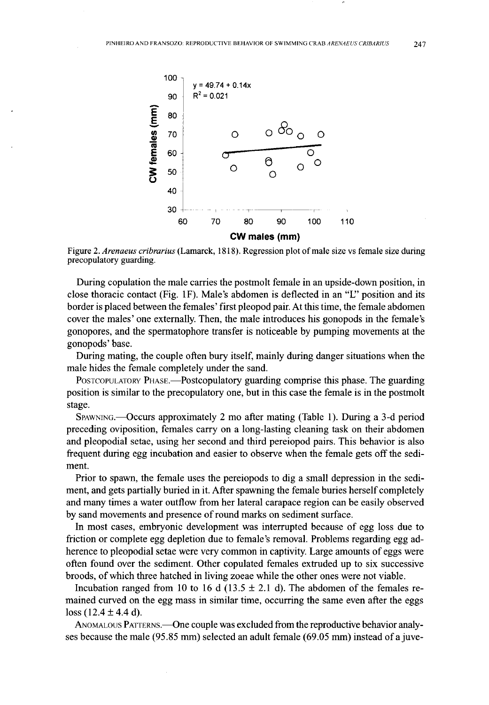

Figure 2. *Arenaeus cribrarius* (Lamarck, 1818). Regression plot ofmale size vs female size during precopulatory guarding.

During copulation the male carries the postmolt female in an upside-down position, in close thoracic contact (Fig. IF). Male's abdomen is deflected in an "L" position and its border is placed between the females' first pleopod pair. At this time, the female abdomen cover the males' one externally. Then, the male introduces his gonopods in the female's gonopores, and the spermatophore transfer is noticeable by pumping movements at the gonopods' base.

During mating, the couple often bury itself, mainly during danger situations when the male hides the female completely under the sand.

POSTCOPULATORY PHASE.—Postcopulatory guarding comprise this phase. The guarding position is similar to the precopulatory one, but in this case the female is in the postmolt stage.

SPAWNING.-OCCurs approximately 2 mo after mating (Table 1). During a 3-d period preceding oviposition, females carry on a long-lasting cleaning task on their abdomen and pleopodial setae, using her second and third pereiopod pairs. This behavior is also frequent during egg incubation and easier to observe when the female gets off the sediment.

Prior to spawn, the female uses the pereiopods to dig a small depression in the sediment, and gets partially buried in it. After spawning the female buries herself completely and many times a water outflow from her lateral carapace region can be easily observed by sand movements and presence of round marks on sediment surface.

In most cases, embryonic development was interrupted because of egg loss due to friction or complete egg depletion due to female's removal. Problems regarding egg adherence to pleopodial setae were very common in captivity. Large amounts of eggs were often found over the sediment. Other copulated females extruded up to six successive broods, of which three hatched in living zoeae while the other ones were not viable.

Incubation ranged from 10 to 16 d (13.5  $\pm$  2.1 d). The abdomen of the females remained curved on the egg mass in similar time, occurring the same even after the eggs loss  $(12.4 \pm 4.4 \text{ d})$ .

ANOMALOUS PATTERNS.—One couple was excluded from the reproductive behavior analyses because the male (95.85 mm) selected an adult female (69.05 mm) instead of a juve-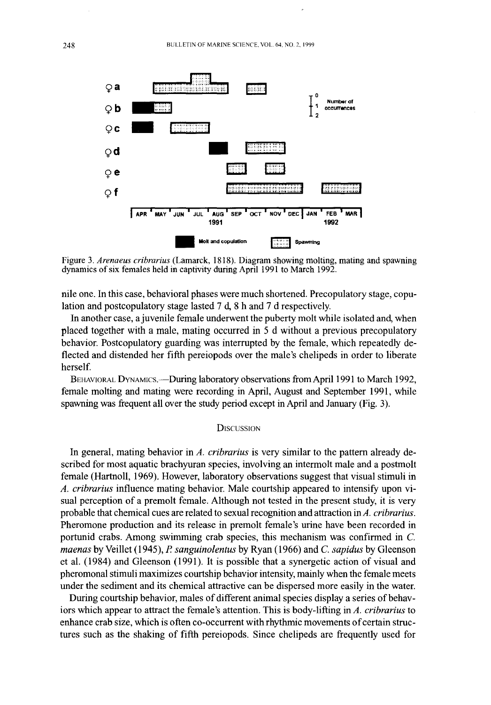

Figure 3, *Arenaeus cribrarius* (Lamarck, 1818), Diagram showing molting, mating and spawning dynamics of six females held in captivity during April 1991 to March 1992.

nile one. In this case, behavioral phases were much shortened. Precopulatory stage, copulation and postcopulatory stage lasted 7 d, 8 h and 7 d respectively.

In another case, a juvenile female underwent the puberty molt while isolated and, when placed together with a male, mating occurred in 5 d without a previous precopulatory behavior. Postcopulatory guarding was interrupted by the female, which repeatedly deflected and distended her fifth pereiopods over the male's chelipeds in order to liberate herself.

BEHAVIORAL DYNAMICS.-During laboratory observations from April 1991 to March 1992, female molting and mating were recording in April, August and September 1991, while spawning was frequent all over the study period except in April and January (Fig. 3).

#### **DISCUSSION**

In general, mating behavior in *A. cribrarius* is very similar to the pattern already described for most aquatic brachyuran species, involving an intermolt male and a postmolt female (Hartnoll, 1969). However, laboratory observations suggest that visual stimuli in *A. cribrarius* influence mating behavior. Male courtship appeared to intensify upon visual perception of a premolt female. Although not tested in the present study, it is very probable that chemical cues are related to sexual recognition and attraction inA. *cribrarius.* Pheromone production and its release in premolt female's urine have been recorded in portunid crabs. Among swimming crab species, this mechanism was confirmed in C. *maenas* byVeillet (1945), *P sanguinolentus* by Ryan (1966) and C. *sapidus* by Gleenson et a1. (1984) and Gleenson (1991). It is possible that a synergetic action of visual and pheromonal stimuli maximizes courtship behavior intensity, mainly when the female meets under the sediment and its chemical attractive can be dispersed more easily in the water.

During courtship behavior, males of different animal species display a series of behaviors which appear to attract the female's attention. This is body-lifting in *A. cribrarius* to enhance crab size, which is often co-occurrent with rhythmic movements of certain structures such as the shaking of fifth pereiopods. Since chelipeds are frequently used for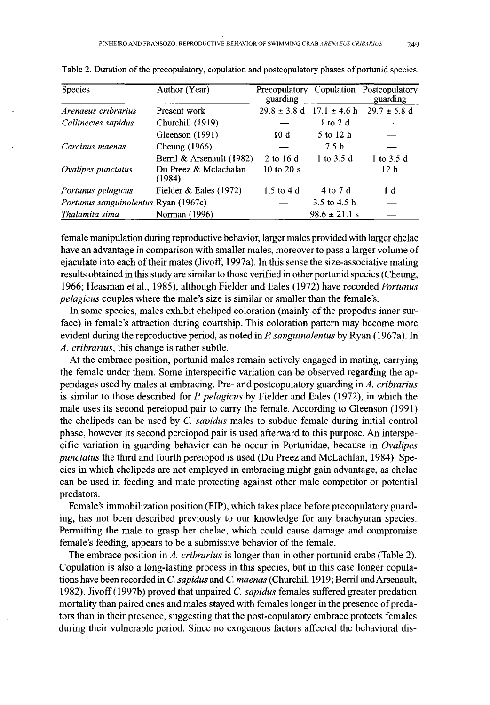| <b>Species</b>                       | Author (Year)                   | guarding                      |                   | Precopulatory Copulation Postcopulatory<br>guarding |
|--------------------------------------|---------------------------------|-------------------------------|-------------------|-----------------------------------------------------|
| Arenaeus cribrarius                  | Present work                    | $29.8 \pm 3.8$ d              | $17.1 \pm 4.6$ h  | $29.7 \pm 5.8$ d                                    |
| Callinectes sapidus                  | Churchill (1919)                |                               | $1$ to $2$ d      |                                                     |
|                                      | Gleenson (1991)                 | 10d                           | 5 to 12 h         |                                                     |
| Carcinus maenas                      | Cheung (1966)                   |                               | 7.5 <sub>h</sub>  |                                                     |
|                                      | Berril & Arsenault (1982)       | 2 to 16 d                     | 1 to 3.5 d        | 1 to 3.5 d                                          |
| Ovalipes punctatus                   | Du Preez & Mclachalan<br>(1984) | $10 \text{ to } 20 \text{ s}$ |                   | 12 <sub>h</sub>                                     |
| Portunus pelagicus                   | Fielder $&$ Eales (1972)        | $1.5$ to $4d$                 | 4 to 7 d          | 1 d                                                 |
| Portunus sanguinolentus Ryan (1967c) |                                 |                               | 3.5 to 4.5 h      |                                                     |
| Thalamita sima                       | Norman (1996)                   |                               | $98.6 \pm 21.1$ s |                                                     |

Table 2. Duration of the precopulatory, copulation and postcopulatory phases of portunid species.

female manipulation during reproductive behavior, larger males provided with larger chelae have an advantage in comparison with smaller males, moreover to pass a larger volume of ejaculate into each oftheir mates (Jivoff, 1997a). In this sense the size-associative mating results obtained in this study are similar to those verified in other portunid species (Cheung, 1966; Heasman et aI., 1985), although Fielder and Eales (1972) have recorded *Portunus pelagicus* couples where the male's size is similar or smaller than the female's.

In some species, males exhibit cheliped coloration (mainly of the propodus inner surface) in female's attraction during courtship. This coloration pattern may become more evident during the reproductive period, as noted in P *sanguinolentus* by Ryan (1967a). In *A. cribrarius,* this change is rather subtle.

At the embrace position, portunid males remain actively engaged in mating, carrying the female under them. Some interspecific variation can be observed regarding the appendages used by males at embracing. Pre- and postcopulatory guarding in *A. cribrarius* is similar to those described for *P pelagicus* by Fielder and Eales (1972), in which the male uses its second pereiopod pair to carry the female. According to Gleenson (1991) the chelipeds can be used by C. *sapidus* males to subdue female during initial control phase, however its second pereiopod pair is used afterward to this purpose. An interspecific variation in guarding behavior can be occur in Portunidae, because in *Ovalipes punctatus* the third and fourth pereiopod is used (Du Preez and McLachlan, 1984). Species in which chelipeds are not employed in embracing might gain advantage, as chelae can be used in feeding and mate protecting against other male competitor or potential predators.

Female's immobilization position (FIP), which takes place before precopulatory guarding, has not been described previously to our knowledge for any brachyuran species. Permitting the male to grasp her chelae, which could cause damage and compromise female's feeding, appears to be a submissive behavior of the female.

The embrace position in *A. cribrarius* is longer than in other portunid crabs (Table 2). Copulation is also a long-lasting process in this species, but in this case longer copulations have been recorded in C. *sapidus* and C. maenas (Churchil, 1919; Berril and Arsenault, 1982). Jivoff(1997b) proved that unpaired C. *sapidus* females suffered greater predation mortality than paired ones and males stayed with females longer in the presence of predators than in their presence, suggesting that the post-copulatory embrace protects females during their vulnerable period. Since no exogenous factors affected the behavioral dis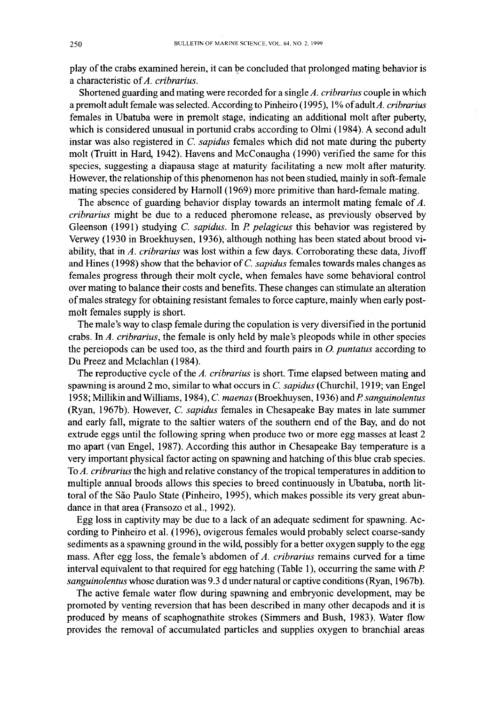play of the crabs examined herein, it can be concluded that prolonged mating behavior is a characteristic of*A. cribrarius.*

Shortened guarding and mating were recorded for a single*A. cribrarius* couple in which a premolt adult female was selected. According to Pinheiro (1995), 1% ofadultA. *cribrarius* females in Ubatuba were in premolt stage, indicating an additional molt after puberty, which is considered unusual in portunid crabs according to Olmi (1984). A second adult instar was also registered in C. *sapidus* females which did not mate during the puberty molt (Truitt in Hard, 1942). Havens and McConaugha (1990) verified the same for this species, suggesting a diapausa stage at maturity facilitating a new molt after maturity. However, the relationship of this phenomenon has not been studied, mainly in soft-female mating species considered by Harnoll (1969) more primitive than hard-female mating.

The absence of guarding behavior display towards an intermolt mating female of A. *cribrarius* might be due to a reduced pheromone release, as previously observed by Gleenson (1991) studying C. *sapidus.* In P. *pelagicus* this behavior was registered by Verwey (1930 in Broekhuysen, 1936), although nothing has been stated about brood viability, that in *A. cribrarius* was lost within a few days. Corroborating these data, Jivoff and Hines (1998) show that the behavior of C. *sapidus* females towards males changes as females progress through their molt cycle, when females have some behavioral control over mating to balance their costs and benefits. These changes can stimulate an alteration ofmales strategy for obtaining resistant females to force capture, mainly when early postmolt females supply is short.

The male's way to clasp female during the copulation is very diversified in the portunid crabs. In *A. cribrarius,* the female is only held by male's pleopods while in other species the pereiopods can be used too, as the third and fourth pairs in 0. *puntatus* according to Du Preez and Mclachlan (1984).

The reproductive cycle of the *A. cribrarius* is short. Time elapsed between mating and spawning is around 2 mo, similar to what occurs in C. *sapidus* (Churchil, 1919; van Engel 1958; Millikin andWilliams, 1984), C. *maenas* (Broekhuysen, 1936) andP. *sanguinolentus* (Ryan, 1967b). However, C. *sapidus* females in Chesapeake Bay mates in late summer and early fall, migrate to the saltier waters of the southern end of the Bay, and do not extrude eggs until the following spring when produce two or more egg masses at least 2 mo apart (van Engel, 1987). According this author in Chesapeake Bay temperature is a very important physical factor acting on spawning and hatching ofthis blue crab species. To *A. cribrarius* the high and relative constancy of the tropical temperatures in addition to multiple annual broods allows this species to breed continuously in Ubatuba, north littoral of the São Paulo State (Pinheiro, 1995), which makes possible its very great abundance in that area (Fransozo et aI., 1992).

Egg loss in captivity may be due to a lack of an adequate sediment for spawning. According to Pinheiro et aI. (1996), ovigerous females would probably select coarse-sandy sediments as a spawning ground in the wild, possibly for a better oxygen supply to the egg mass. After egg loss, the female's abdomen of *A. cribrarius* remains curved for a time interval equivalent to that required for egg hatching (Table 1), occurring the same with P. *sanguinolentus* whose duration was 9.3 d under natural or captive conditions (Ryan, 1967b).

The active female water flow during spawning and embryonic development, may be promoted by venting reversion that has been described in many other decapods and it is produced by means of scaphognathite strokes (Simmers and Bush, 1983). Water flow provides the removal of accumulated particles and supplies oxygen to branchial areas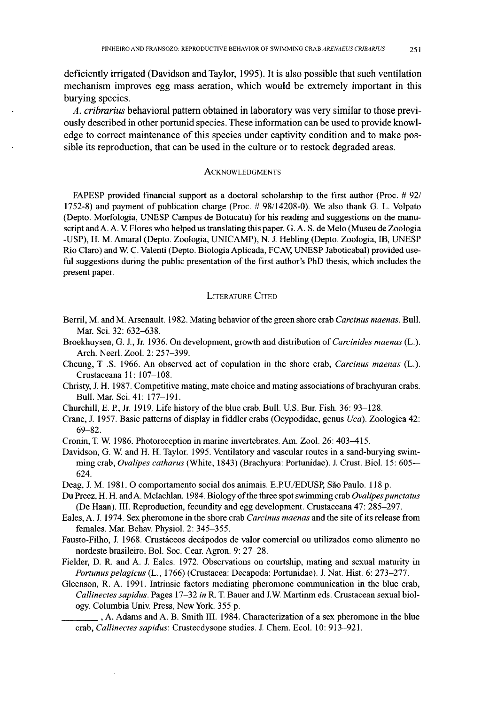deficiently irrigated (Davidson and Taylor, 1995). It is also possible that such ventilation mechanism improves egg mass aeration, which would be extremely important in this burying species.

*A. cribrarius* behavioral pattern obtained in laboratory was very similar to those previously described in other portunid species. These information can be used to provide knowledge to correct maintenance of this species under captivity condition and to make possible its reproduction, that can be used in the culture or to restock degraded areas.

#### **ACKNOWLEDGMENTS**

FAPESP provided financial support as a doctoral scholarship to the first author (Proc. # 92/ 1752-8) and payment of publication charge (Proc. # 98/14208-0). We also thank G. L. Volpato (Depto. Morfologia, UNESP Campus de Botucatu) for his reading and suggestions on the manuscript and A. A. V. Flores who helped us translating this paper. G. A. S. de Melo (Museu de Zoologia -USP), H. M. Amaral (Depto. Zoologia, UNICAMP), N. 1. Hebling (Depto. Zoologia, lB, UNESP Rio Claro) and W. C. Valenti (Depto. Biologia Aplicada, FCAV, UNESP Jaboticabal) provided useful suggestions during the public presentation of the first author's PhD thesis, which includes the present paper.

#### LITERATURE CITED

- Berril, M. and M. Arsenault. 1982. Mating behavior ofthe green shore crab *Carcinus maenas.* Bull. Mar. Sci. 32: 632-638.
- Broekhuysen, G. 1., Jr. 1936. On development, growth and distribution of*Carcinides maenas* (L.). Arch. Neerl. Zool. 2: 257-399.
- Cheung, T .S. 1966. An observed act of copulation in the shore crab, *Carcinus maenas* (L.). Crustaceana II: 107-108.
- Christy, 1. H. 1987. Competitive mating, mate choice and mating associations ofbrachyuran crabs. Bull. Mar. Sci. 41: 177-191.
- Churchill, E. P., Jr. 1919. Life history of the blue crab. Bull. U.S. Bur. Fish. 36: 93-128.
- Crane, 1. 1957. Basic patterns of display in fiddler crabs (Ocypodidae, genus *Uca).* Zoologica 42: 69-82.
- Cronin, T. W. 1986. Photoreception in marine invertebrates. Am. Zool. 26: 403-415.
- Davidson, G. W. and H. H. Taylor. 1995. Ventilatory and vascular routes in a sand-burying swimming crab, *Ovalipes catharus* (White, 1843) (Brachyura: Portunidae). 1. Crust. BioI. 15: 605- 624.
- Deag, J. M. 1981. O comportamento social dos animais. E.P.U./EDUSP, São Paulo. 118 p.
- Du Preez, H. H. and A. Mclachlan. 1984. Biology of the three spot swimming crab *Ovalipes punctatus* (De Haan). III. Reproduction, fecundity and egg development. Crustaceana 47: 285-297.
- Eales, A. 1. 1974. Sex pheromone in the shore crab *Carcinus maenas* and the site ofits release from females. Mar. Behav. Physiol. 2: 345-355.
- Fausto-Filho, J. 1968. Crustáceos decápodos de valor comercial ou utilizados como alimento no nordeste brasileiro. Bol. Soc. Cear. Agron. 9: 27-28.
- Fielder, D. R. and A. 1. Eales. 1972. Observations on courtship, mating and sexual maturity in *Portunus pelagicus* (L., 1766) (Crustacea: Decapoda: Portunidae). 1. Nat. Hist. 6: 273-277.
- Gleenson, R. A. 1991. Intrinsic factors mediating pheromone communication in the blue crab, *Callinectes sapidus.* Pages 17-32 *in* R. T. Bauer and 1.w. Martinm eds. Crustacean sexual biology. Columbia Univ. Press, New York. 355 p.
	- \_\_\_\_ , A. Adams and A. B. Smith III. 1984. Characterization of <sup>a</sup> sex pheromone in the blue crab, *Callinectes sapidus:* Crustecdysone studies. 1. Chern. Ecol. 10: 913-921.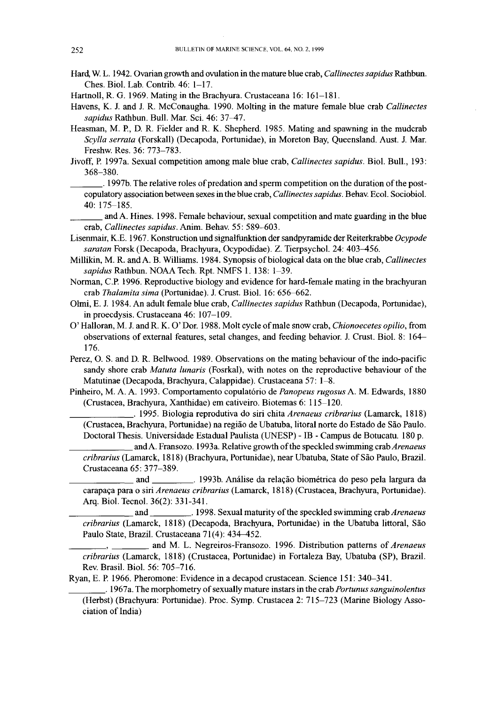- Hard, W. L. 1942. Ovarian growth and ovulation in the mature blue crab, *Callinectes sapidus* Rathbun, Ches, BioL Lab. Contrib. 46: 1-17.
- Hartnoll, R. G, 1969. Mating in the Brachyura. Crustaceana 16: 161-181.

Havens, K. J. and J. R. McConaugha. 1990. Molting in the mature female blue crab *Callinectes sapidus* Rathbun. Bull. Mar. Sci. 46: 37--47.

- Heasman, M. P., D. R. Fielder and R. K. Shepherd. 1985. Mating and spawning in the mudcrab *Scylla serrata* (Forskall) (Decapoda, Portunidae), in Moreton Bay, Queensland. Aust. J. Mar. Freshw. Res. 36: 773-783.
- livoff, P. 1997a. Sexual competition among male blue crab, *Callinectes sapidus,* BioI. Bull., 193: 368-380,

\_\_\_. 1997b. The relative roles ofpredation and sperm competition on the duration ofthe postcopulatory association between sexes in the blue crab, *Callinectessapidus.* Behav. Ecoi. SociobioL 40: 175-185.

\_\_\_and A. Hines. 1998. Female behaviour, sexual competition and mate guarding in the blue crab, *Callinectes sapidus.* Anim. Behav. 55: 589-603.

- Lisenmair, K.E. 1967. Konstruction und signalfunktion der sandpyramide der Reiterkrabbe *Ocypode* saratan Forsk (Decapoda, Brachyura, Ocypodidae). Z. Tierpsychol. 24: 403-456.
- Millikin, M. R. andA. B. Williams. 1984. Synopsis ofbiological data on the blue crab, *Callinectes sapidus* Rathbun. NOAA Tech, Rpt. NMFS 1. 138: 1-39.
- Norman, C.P. 1996. Reproductive biology and evidence for hard-female mating in the brachyuran crab *Thalamita sima* (Portunidae). J. Crust. BioI. 16: 656-662.
- Olmi, E. J. 1984. An adult female blue crab, *Callinectes sapidus* Rathbun (Decapoda, Portunidae), in proecdysis. Crustaceana 46: 107-109.
- 0' Halloran, M. J. andR. K. O'Dor. 1988. Molt cycle ofrnaIe snow crab, *Chionoecetes opilio,* from observations of external features, setal changes, and feeding behavior. J. Crust. BioL 8: 164- 176.
- Perez, O. S. and D. R. Bellwood. 1989. Observations on the mating behaviour of the indo-pacific sandy shore crab *Matuta lunaris* (Fosrkal), with notes on the reproductive behaviour of the Matutinae (Decapoda, Brachyura, Calappidae), Crustaceana 57: 1-8.
- Pinheiro, M. A. A. 1993. Comportamento copulatorio de *Panopeus rugosus* A. M. Edwards, 1880 (Crustacea, Brachyura, Xanthidae) em cativeiro. Biotemas 6: 115-120.

\_\_\_\_\_\_. 1995. Biologia reprodutiva do siri chita *Arenaeus cribrarius* (Lamarck, 1818) (Crustacea, Brachyura, Portunidae) na regiao de Ubatuba, litoral norte do Estado de Sao Paulo. Doctoral Thesis. Universidade Estadual Paulista (UNESP) - IB - Campus de Botucatu. 180 p.

\_\_\_\_\_\_andA. Fransozo. 1993a. Relative growth ofthe speckled swimming crab*Arenaeus cribrarius* (Lamarck, 1818) (Brachyura, Portunidae), near Ubatuba, State of Sao Paulo, BraziL Crustaceana 65: 377-389.

\_\_\_\_\_\_ and . 1993b. Analise da rela9ao biometrica do peso pela largura da carapa9a para <sup>0</sup> siri *Arenaeus cribrarius* (Lamarck, 1818) (Crustacea, Brachyura, Portunidae). Arq. BioI. Tecnoi. 36(2): 331-341.

and \_\_\_\_\_\_\_\_\_\_\_. 1998. Sexual maturity of the speckled swimming crab *Arenaeus cribrarius* (Lamarck, 1818) (Decapoda, Brachyura, Portunidae) in the Ubatuba littoral, Sao Paulo State, Brazil. Crustaceana 71(4): 434-452.

\_\_\_\_\_\_\_\_ and M. L. Negreiros-Fransozo. 1996. Distribution patterns of *Arenaeus cribrarius* (Lamarck, 1818) (Crustacea, Portunidae) in Fortaleza Bay, Ubatuba (SP), Brazil. Rev. BrasiL BioI. 56: 705-716.

Ryan, E. P. 1966. Pheromone: Evidence in a decapod crustacean. Science 151: 340-341.

\_\_\_\_. 1967a. The morphometry ofsexually mature instars in the crab *Portunus sanguinolentus* (Herbst) (Brachyura: Portunidae). Proc. Symp. Crustacea 2: 715-723 (Marine Biology Association of India)